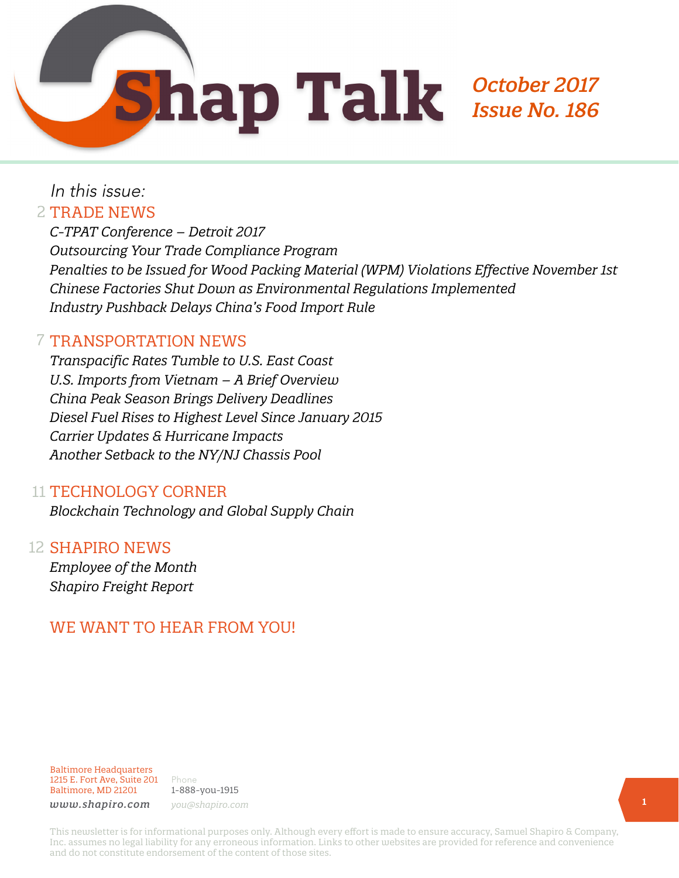

## In this issue:

#### 2 TRADE NEWS

*C-TPAT Conference – Detroit 2017 Outsourcing Your Trade Compliance Program Penalties to be Issued for Wood Packing Material (WPM) Violations Effective November 1st Chinese Factories Shut Down as Environmental Regulations Implemented Industry Pushback Delays China's Food Import Rule*

#### 7 TRANSPORTATION NEWS

*Transpacific Rates Tumble to U.S. East Coast U.S. Imports from Vietnam – A Brief Overview China Peak Season Brings Delivery Deadlines Diesel Fuel Rises to Highest Level Since January 2015 Carrier Updates & Hurricane Impacts Another Setback to the NY/NJ Chassis Pool*

#### 11 TECHNOLOGY CORNER

*Blockchain Technology and Global Supply Chain*

#### 12 SHAPIRO NEWS

*Employee of the Month Shapiro Freight Report*

#### WE WANT TO HEAR FROM YOU!

Baltimore Headquarters 1215 E. Fort Ave, Suite 201 Baltimore, MD 21201

Phone 1-888-you-1915 *www.shapiro.com you@shapiro.com*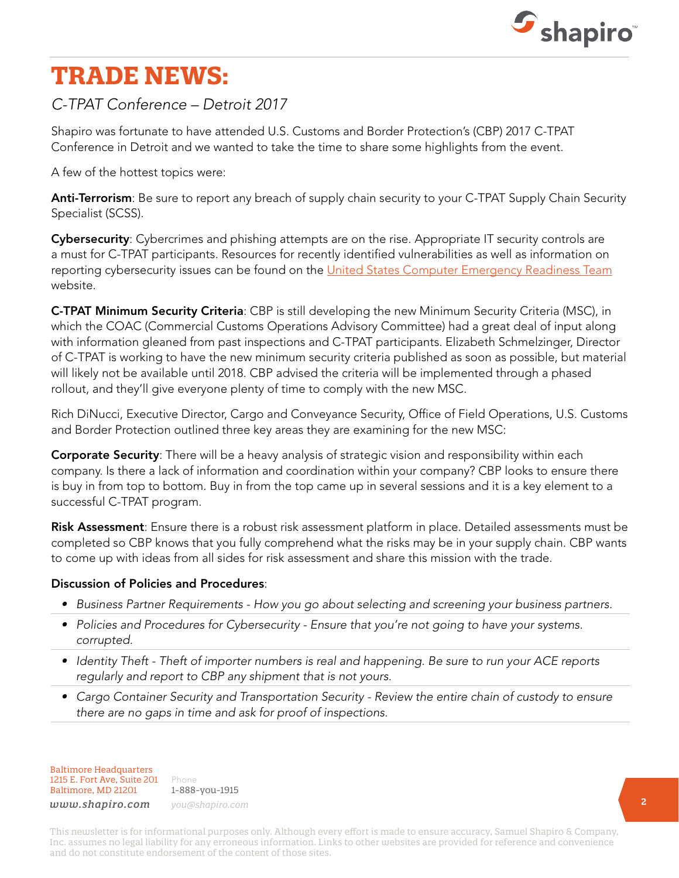

## **TRADE NEWS:**

#### *C-TPAT Conference – Detroit 2017*

Shapiro was fortunate to have attended U.S. Customs and Border Protection's (CBP) 2017 C-TPAT Conference in Detroit and we wanted to take the time to share some highlights from the event.

A few of the hottest topics were:

Anti-Terrorism: Be sure to report any breach of supply chain security to your C-TPAT Supply Chain Security Specialist (SCSS).

Cybersecurity: Cybercrimes and phishing attempts are on the rise. Appropriate IT security controls are a must for C-TPAT participants. Resources for recently identified vulnerabilities as well as information on reporting cybersecurity issues can be found on the [United States Computer Emergency Readiness Team](https://www.us-cert.gov/) website.

C-TPAT Minimum Security Criteria: CBP is still developing the new Minimum Security Criteria (MSC), in which the COAC (Commercial Customs Operations Advisory Committee) had a great deal of input along with information gleaned from past inspections and C-TPAT participants. Elizabeth Schmelzinger, Director of C-TPAT is working to have the new minimum security criteria published as soon as possible, but material will likely not be available until 2018. CBP advised the criteria will be implemented through a phased rollout, and they'll give everyone plenty of time to comply with the new MSC.

Rich DiNucci, Executive Director, Cargo and Conveyance Security, Office of Field Operations, U.S. Customs and Border Protection outlined three key areas they are examining for the new MSC:

**Corporate Security**: There will be a heavy analysis of strategic vision and responsibility within each company. Is there a lack of information and coordination within your company? CBP looks to ensure there is buy in from top to bottom. Buy in from the top came up in several sessions and it is a key element to a successful C-TPAT program.

Risk Assessment: Ensure there is a robust risk assessment platform in place. Detailed assessments must be completed so CBP knows that you fully comprehend what the risks may be in your supply chain. CBP wants to come up with ideas from all sides for risk assessment and share this mission with the trade.

#### Discussion of Policies and Procedures:

- *• Business Partner Requirements How you go about selecting and screening your business partners.*
- *• Policies and Procedures for Cybersecurity Ensure that you're not going to have your systems. corrupted.*
- *• Identity Theft Theft of importer numbers is real and happening. Be sure to run your ACE reports regularly and report to CBP any shipment that is not yours.*
- *• Cargo Container Security and Transportation Security Review the entire chain of custody to ensure there are no gaps in time and ask for proof of inspections.*

Baltimore Headquarters 1215 E. Fort Ave, Suite 201 Baltimore, MD 21201

Phone 1-888-you-1915 *www.shapiro.com you@shapiro.com*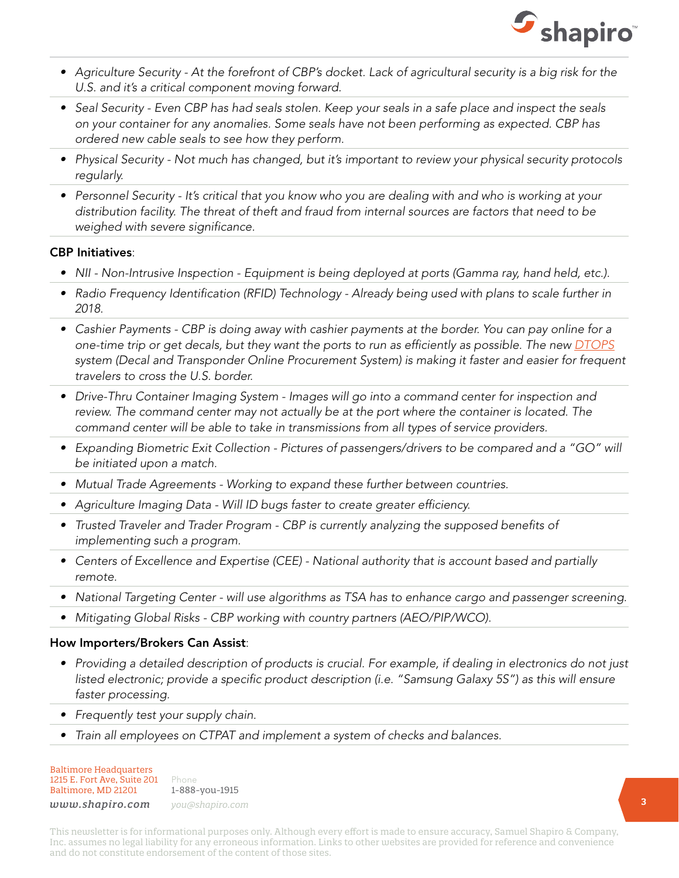

- Agriculture Security At the forefront of CBP's docket. Lack of agricultural security is a big risk for the *U.S. and it's a critical component moving forward.*
- *• Seal Security Even CBP has had seals stolen. Keep your seals in a safe place and inspect the seals on your container for any anomalies. Some seals have not been performing as expected. CBP has ordered new cable seals to see how they perform.*
- *• Physical Security Not much has changed, but it's important to review your physical security protocols regularly.*
- *• Personnel Security It's critical that you know who you are dealing with and who is working at your distribution facility. The threat of theft and fraud from internal sources are factors that need to be weighed with severe significance.*

#### CBP Initiatives:

- *• NII Non-Intrusive Inspection Equipment is being deployed at ports (Gamma ray, hand held, etc.).*
- *• Radio Frequency Identification (RFID) Technology Already being used with plans to scale further in 2018.*
- *• Cashier Payments CBP is doing away with cashier payments at the border. You can pay online for a one-time trip or get decals, but they want the ports to run as efficiently as possible. The new [DTOPS](https://dtops.cbp.dhs.gov/main/#) system (Decal and Transponder Online Procurement System) is making it faster and easier for frequent travelers to cross the U.S. border.*
- *• Drive-Thru Container Imaging System Images will go into a command center for inspection and*  review. The command center may not actually be at the port where the container is located. The *command center will be able to take in transmissions from all types of service providers.*
- Expanding Biometric Exit Collection Pictures of passengers/drivers to be compared and a "GO" will *be initiated upon a match.*
- *• Mutual Trade Agreements Working to expand these further between countries.*
- *• Agriculture Imaging Data Will ID bugs faster to create greater efficiency.*
- *• Trusted Traveler and Trader Program CBP is currently analyzing the supposed benefits of implementing such a program.*
- *• Centers of Excellence and Expertise (CEE) National authority that is account based and partially remote.*
- *• National Targeting Center will use algorithms as TSA has to enhance cargo and passenger screening.*
- *• Mitigating Global Risks CBP working with country partners (AEO/PIP/WCO).*

#### How Importers/Brokers Can Assist:

- *Providing a detailed description of products is crucial. For example, if dealing in electronics do not just listed electronic; provide a specific product description (i.e. "Samsung Galaxy 5S") as this will ensure faster processing.*
- *• Frequently test your supply chain.*
- *• Train all employees on CTPAT and implement a system of checks and balances.*

#### Baltimore Headquarters 1215 E. Fort Ave, Suite 201 Baltimore, MD 21201

Phone 1-888-you-1915 *www.shapiro.com you@shapiro.com*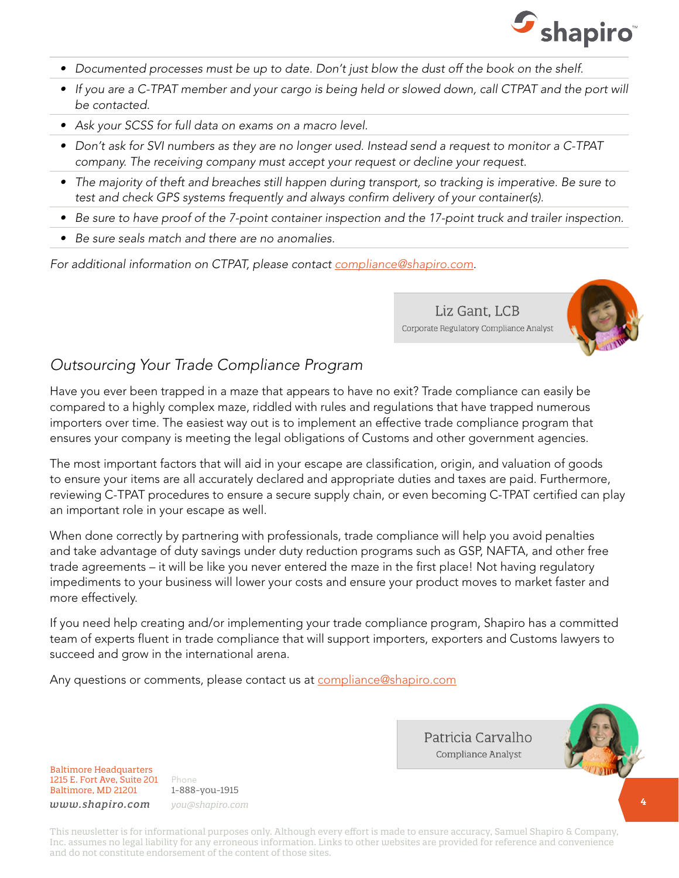

- *• Documented processes must be up to date. Don't just blow the dust off the book on the shelf.*
- If you are a C-TPAT member and your cargo is being held or slowed down, call CTPAT and the port will *be contacted.*
- *• Ask your SCSS for full data on exams on a macro level.*
- *• Don't ask for SVI numbers as they are no longer used. Instead send a request to monitor a C-TPAT company. The receiving company must accept your request or decline your request.*
- *• The majority of theft and breaches still happen during transport, so tracking is imperative. Be sure to test and check GPS systems frequently and always confirm delivery of your container(s).*
- *• Be sure to have proof of the 7-point container inspection and the 17-point truck and trailer inspection.*
- *• Be sure seals match and there are no anomalies.*

*For additional information on CTPAT, please contact [compliance@shapiro.com](http://compliance@shapiro.com).*

Liz Gant, LCB Corporate Regulatory Compliance Analyst



#### *Outsourcing Your Trade Compliance Program*

Have you ever been trapped in a maze that appears to have no exit? Trade compliance can easily be compared to a highly complex maze, riddled with rules and regulations that have trapped numerous importers over time. The easiest way out is to implement an effective trade compliance program that ensures your company is meeting the legal obligations of Customs and other government agencies.

The most important factors that will aid in your escape are classification, origin, and valuation of goods to ensure your items are all accurately declared and appropriate duties and taxes are paid. Furthermore, reviewing C-TPAT procedures to ensure a secure supply chain, or even becoming C-TPAT certified can play an important role in your escape as well.

When done correctly by partnering with professionals, trade compliance will help you avoid penalties and take advantage of duty savings under duty reduction programs such as GSP, NAFTA, and other free trade agreements – it will be like you never entered the maze in the first place! Not having regulatory impediments to your business will lower your costs and ensure your product moves to market faster and more effectively.

If you need help creating and/or implementing your trade compliance program, Shapiro has a committed team of experts fluent in trade compliance that will support importers, exporters and Customs lawyers to succeed and grow in the international arena.

Any questions or comments, please contact us at **[compliance@shapiro.com](http://compliance@shapiro.com)** 



Baltimore Headquarters 1215 E. Fort Ave, Suite 201 Baltimore, MD 21201

Phone 1-888-you-1915 *www.shapiro.com you@shapiro.com* Patricia Carvalho Compliance Analyst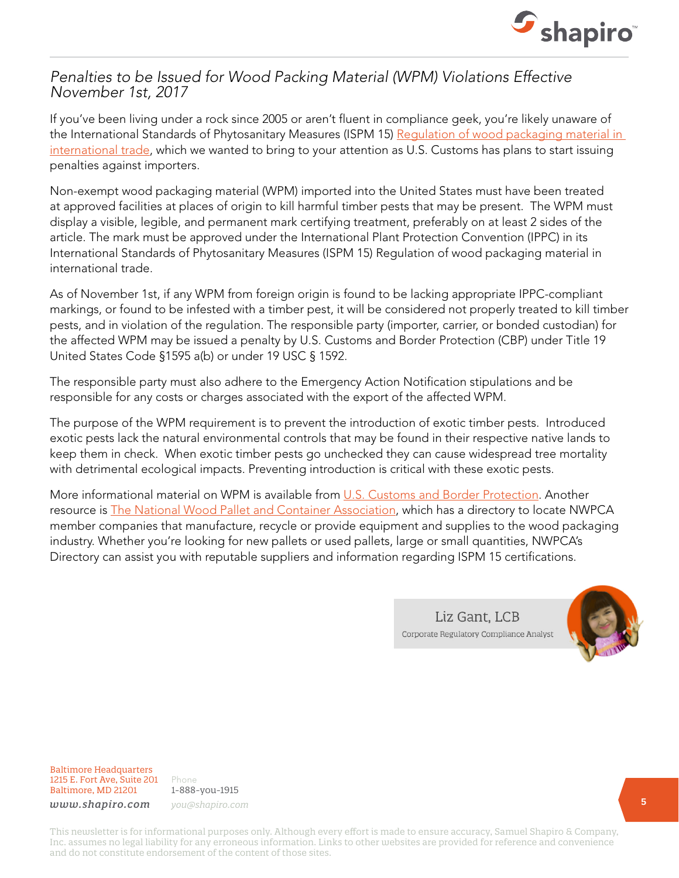

#### *Penalties to be Issued for Wood Packing Material (WPM) Violations Effective November 1st, 2017*

If you've been living under a rock since 2005 or aren't fluent in compliance geek, you're likely unaware of the International Standards of Phytosanitary Measures (ISPM 15) Regulation of wood packaging material in [international trade](https://www.ippc.int/en/publications/640/), which we wanted to bring to your attention as U.S. Customs has plans to start issuing penalties against importers.

Non-exempt wood packaging material (WPM) imported into the United States must have been treated at approved facilities at places of origin to kill harmful timber pests that may be present. The WPM must display a visible, legible, and permanent mark certifying treatment, preferably on at least 2 sides of the article. The mark must be approved under the International Plant Protection Convention (IPPC) in its International Standards of Phytosanitary Measures (ISPM 15) Regulation of wood packaging material in international trade.

As of November 1st, if any WPM from foreign origin is found to be lacking appropriate IPPC-compliant markings, or found to be infested with a timber pest, it will be considered not properly treated to kill timber pests, and in violation of the regulation. The responsible party (importer, carrier, or bonded custodian) for the affected WPM may be issued a penalty by U.S. Customs and Border Protection (CBP) under Title 19 United States Code §1595 a(b) or under 19 USC § 1592.

The responsible party must also adhere to the Emergency Action Notification stipulations and be responsible for any costs or charges associated with the export of the affected WPM.

The purpose of the WPM requirement is to prevent the introduction of exotic timber pests. Introduced exotic pests lack the natural environmental controls that may be found in their respective native lands to keep them in check. When exotic timber pests go unchecked they can cause widespread tree mortality with detrimental ecological impacts. Preventing introduction is critical with these exotic pests.

More informational material on WPM is available from [U.S. Customs and Border Protection.](https://www.cbp.gov/border-security/protecting-agriculture/wpm) Another resource is **[The National Wood Pallet and Container Association](https://www.palletcentral.com/)**, which has a directory to locate NWPCA member companies that manufacture, recycle or provide equipment and supplies to the wood packaging industry. Whether you're looking for new pallets or used pallets, large or small quantities, NWPCA's Directory can assist you with reputable suppliers and information regarding ISPM 15 certifications.

> Liz Gant, LCB Corporate Regulatory Compliance Analyst



Baltimore Headquarters 1215 E. Fort Ave, Suite 201 Baltimore, MD 21201

Phone 1-888-you-1915 *www.shapiro.com you@shapiro.com*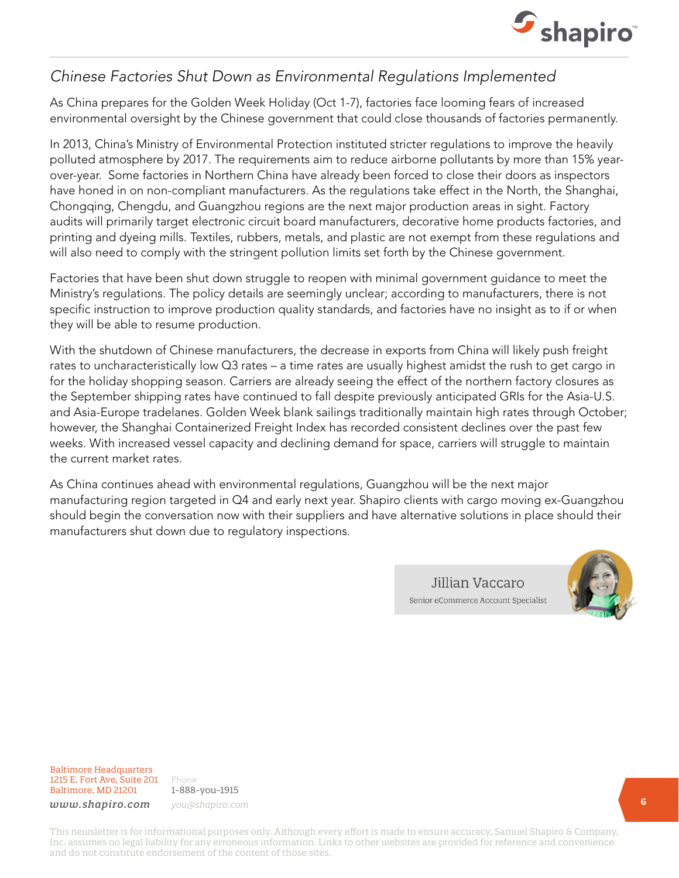

#### *Chinese Factories Shut Down as Environmental Regulations Implemented*

As China prepares for the Golden Week Holiday (Oct 1-7), factories face looming fears of increased environmental oversight by the Chinese government that could close thousands of factories permanently.

In 2013, China's Ministry of Environmental Protection instituted stricter regulations to improve the heavily polluted atmosphere by 2017. The requirements aim to reduce airborne pollutants by more than 15% yearover-year. Some factories in Northern China have already been forced to close their doors as inspectors have honed in on non-compliant manufacturers. As the regulations take effect in the North, the Shanghai, Chongqing, Chengdu, and Guangzhou regions are the next major production areas in sight. Factory audits will primarily target electronic circuit board manufacturers, decorative home products factories, and printing and dyeing mills. Textiles, rubbers, metals, and plastic are not exempt from these regulations and will also need to comply with the stringent pollution limits set forth by the Chinese government.

Factories that have been shut down struggle to reopen with minimal government guidance to meet the Ministry's regulations. The policy details are seemingly unclear; according to manufacturers, there is not specific instruction to improve production quality standards, and factories have no insight as to if or when they will be able to resume production.

With the shutdown of Chinese manufacturers, the decrease in exports from China will likely push freight rates to uncharacteristically low Q3 rates – a time rates are usually highest amidst the rush to get cargo in for the holiday shopping season. Carriers are already seeing the effect of the northern factory closures as the September shipping rates have continued to fall despite previously anticipated GRIs for the Asia-U.S. and Asia-Europe tradelanes. Golden Week blank sailings traditionally maintain high rates through October; however, the Shanghai Containerized Freight Index has recorded consistent declines over the past few weeks. With increased vessel capacity and declining demand for space, carriers will struggle to maintain the current market rates.

As China continues ahead with environmental regulations, Guangzhou will be the next major manufacturing region targeted in Q4 and early next year. Shapiro clients with cargo moving ex-Guangzhou should begin the conversation now with their suppliers and have alternative solutions in place should their manufacturers shut down due to regulatory inspections.

> Jillian Vaccaro Senior eCommerce Account Specialist



Baltimore Headquarters 1215 E. Fort Ave, Suite 201 Baltimore, MD 21201

Phone 1-888-you-1915 *www.shapiro.com you@shapiro.com*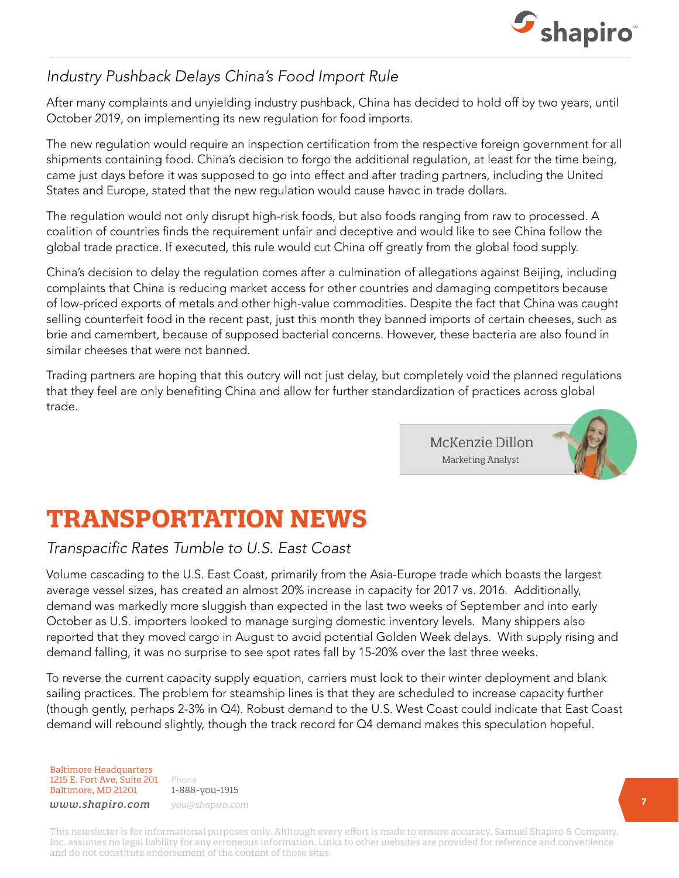

### *Industry Pushback Delays China's Food Import Rule*

After many complaints and unyielding industry pushback, China has decided to hold off by two years, until October 2019, on implementing its new regulation for food imports.

The new regulation would require an inspection certification from the respective foreign government for all shipments containing food. China's decision to forgo the additional regulation, at least for the time being, came just days before it was supposed to go into effect and after trading partners, including the United States and Europe, stated that the new regulation would cause havoc in trade dollars.

The regulation would not only disrupt high-risk foods, but also foods ranging from raw to processed. A coalition of countries finds the requirement unfair and deceptive and would like to see China follow the global trade practice. If executed, this rule would cut China off greatly from the global food supply.

China's decision to delay the regulation comes after a culmination of allegations against Beijing, including complaints that China is reducing market access for other countries and damaging competitors because of low-priced exports of metals and other high-value commodities. Despite the fact that China was caught selling counterfeit food in the recent past, just this month they banned imports of certain cheeses, such as brie and camembert, because of supposed bacterial concerns. However, these bacteria are also found in similar cheeses that were not banned.

Trading partners are hoping that this outcry will not just delay, but completely void the planned regulations that they feel are only benefiting China and allow for further standardization of practices across global trade.

> McKenzie Dillon **Marketing Analyst**



# **TRANSPORTATION NEWS**

#### *Transpacific Rates Tumble to U.S. East Coast*

Volume cascading to the U.S. East Coast, primarily from the Asia-Europe trade which boasts the largest average vessel sizes, has created an almost 20% increase in capacity for 2017 vs. 2016. Additionally, demand was markedly more sluggish than expected in the last two weeks of September and into early October as U.S. importers looked to manage surging domestic inventory levels. Many shippers also reported that they moved cargo in August to avoid potential Golden Week delays. With supply rising and demand falling, it was no surprise to see spot rates fall by 15-20% over the last three weeks.

To reverse the current capacity supply equation, carriers must look to their winter deployment and blank sailing practices. The problem for steamship lines is that they are scheduled to increase capacity further (though gently, perhaps 2-3% in Q4). Robust demand to the U.S. West Coast could indicate that East Coast demand will rebound slightly, though the track record for Q4 demand makes this speculation hopeful.

Baltimore Headquarters 1215 E. Fort Ave, Suite 201 Baltimore, MD 21201

Phone 1-888-you-1915 *www.shapiro.com you@shapiro.com*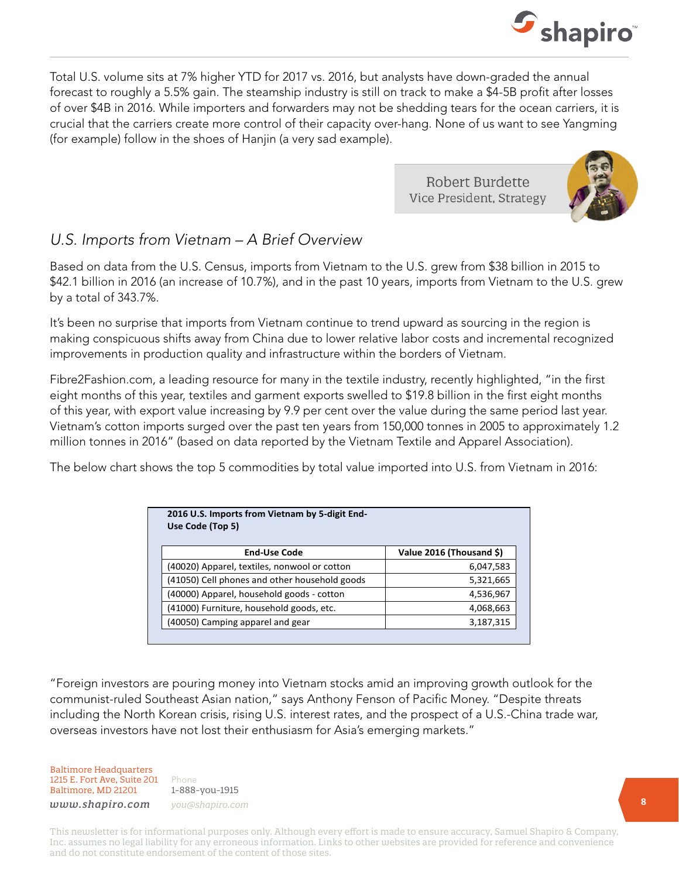

Total U.S. volume sits at 7% higher YTD for 2017 vs. 2016, but analysts have down-graded the annual forecast to roughly a 5.5% gain. The steamship industry is still on track to make a \$4-5B profit after losses of over \$4B in 2016. While importers and forwarders may not be shedding tears for the ocean carriers, it is crucial that the carriers create more control of their capacity over-hang. None of us want to see Yangming (for example) follow in the shoes of Hanjin (a very sad example).

> Robert Burdette Vice President, Strategy



### *U.S. Imports from Vietnam – A Brief Overview*

Based on data from the U.S. Census, imports from Vietnam to the U.S. grew from \$38 billion in 2015 to \$42.1 billion in 2016 (an increase of 10.7%), and in the past 10 years, imports from Vietnam to the U.S. grew by a total of 343.7%.

It's been no surprise that imports from Vietnam continue to trend upward as sourcing in the region is making conspicuous shifts away from China due to lower relative labor costs and incremental recognized improvements in production quality and infrastructure within the borders of Vietnam.

Fibre2Fashion.com, a leading resource for many in the textile industry, recently highlighted, "in the first eight months of this year, textiles and garment exports swelled to \$19.8 billion in the first eight months of this year, with export value increasing by 9.9 per cent over the value during the same period last year. Vietnam's cotton imports surged over the past ten years from 150,000 tonnes in 2005 to approximately 1.2 million tonnes in 2016" (based on data reported by the Vietnam Textile and Apparel Association).

The below chart shows the top 5 commodities by total value imported into U.S. from Vietnam in 2016:

| 2016 U.S. Imports from Vietnam by 5-digit End-<br>Use Code (Top 5) |                          |  |  |
|--------------------------------------------------------------------|--------------------------|--|--|
| <b>End-Use Code</b>                                                | Value 2016 (Thousand \$) |  |  |
| (40020) Apparel, textiles, nonwool or cotton                       | 6,047,583                |  |  |
| (41050) Cell phones and other household goods                      | 5,321,665                |  |  |
| (40000) Apparel, household goods - cotton                          | 4,536,967                |  |  |
| (41000) Furniture, household goods, etc.                           | 4,068,663                |  |  |
| (40050) Camping apparel and gear                                   | 3,187,315                |  |  |

"Foreign investors are pouring money into Vietnam stocks amid an improving growth outlook for the communist-ruled Southeast Asian nation," says Anthony Fenson of Pacific Money. "Despite threats including the North Korean crisis, rising U.S. interest rates, and the prospect of a U.S.-China trade war, overseas investors have not lost their enthusiasm for Asia's emerging markets."

Baltimore Headquarters 1215 E. Fort Ave, Suite 201 Baltimore, MD 21201

Phone 1-888-you-1915 *www.shapiro.com you@shapiro.com*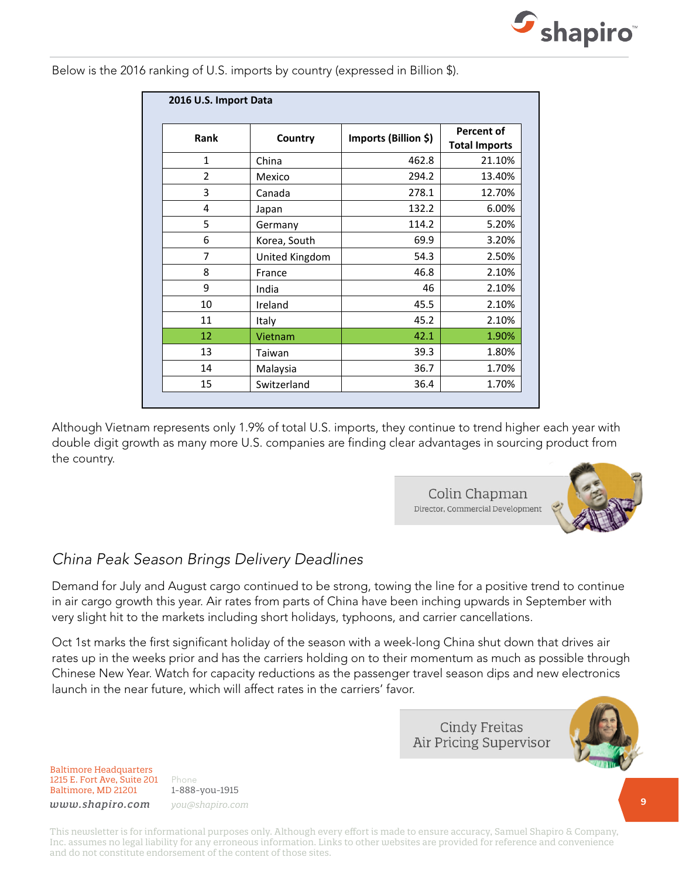

Below is the 2016 ranking of U.S. imports by country (expressed in Billion \$).

| Rank           | Country        | Imports (Billion \$) | <b>Percent of</b>    |
|----------------|----------------|----------------------|----------------------|
|                |                |                      | <b>Total Imports</b> |
| $\mathbf{1}$   | China          | 462.8                | 21.10%               |
| $\overline{2}$ | Mexico         | 294.2                | 13.40%               |
| 3              | Canada         | 278.1                | 12.70%               |
| 4              | Japan          | 132.2                | 6.00%                |
| 5              | Germany        | 114.2                | 5.20%                |
| 6              | Korea, South   | 69.9                 | 3.20%                |
| 7              | United Kingdom | 54.3                 | 2.50%                |
| 8              | France         | 46.8                 | 2.10%                |
| 9              | India          | 46                   | 2.10%                |
| 10             | Ireland        | 45.5                 | 2.10%                |
| 11             | Italy          | 45.2                 | 2.10%                |
| 12             | Vietnam        | 42.1                 | 1.90%                |
| 13             | Taiwan         | 39.3                 | 1.80%                |
| 14             | Malaysia       | 36.7                 | 1.70%                |
| 15             | Switzerland    | 36.4                 | 1.70%                |

Although Vietnam represents only 1.9% of total U.S. imports, they continue to trend higher each year with double digit growth as many more U.S. companies are finding clear advantages in sourcing product from the country.

> Colin Chapman Director, Commercial Development



#### *China Peak Season Brings Delivery Deadlines*

Demand for July and August cargo continued to be strong, towing the line for a positive trend to continue in air cargo growth this year. Air rates from parts of China have been inching upwards in September with very slight hit to the markets including short holidays, typhoons, and carrier cancellations.

Oct 1st marks the first significant holiday of the season with a week-long China shut down that drives air rates up in the weeks prior and has the carriers holding on to their momentum as much as possible through Chinese New Year. Watch for capacity reductions as the passenger travel season dips and new electronics launch in the near future, which will affect rates in the carriers' favor.

> **Cindy Freitas** Air Pricing Supervisor



Baltimore Headquarters 1215 E. Fort Ave, Suite 201 Baltimore, MD 21201

Phone 1-888-you-1915 *www.shapiro.com you@shapiro.com*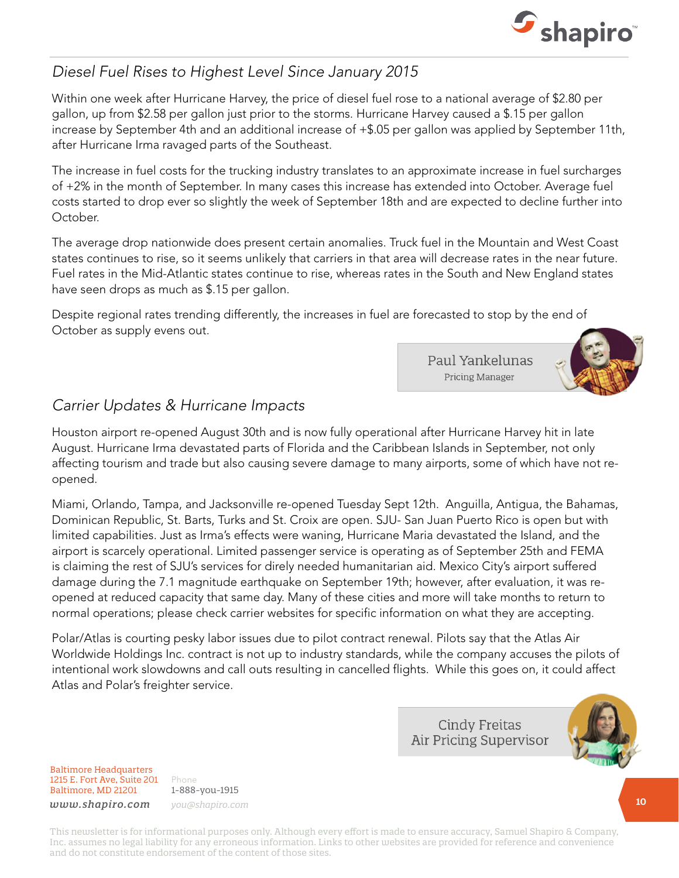

### *Diesel Fuel Rises to Highest Level Since January 2015*

Within one week after Hurricane Harvey, the price of diesel fuel rose to a national average of \$2.80 per gallon, up from \$2.58 per gallon just prior to the storms. Hurricane Harvey caused a \$.15 per gallon increase by September 4th and an additional increase of +\$.05 per gallon was applied by September 11th, after Hurricane Irma ravaged parts of the Southeast.

The increase in fuel costs for the trucking industry translates to an approximate increase in fuel surcharges of +2% in the month of September. In many cases this increase has extended into October. Average fuel costs started to drop ever so slightly the week of September 18th and are expected to decline further into October.

The average drop nationwide does present certain anomalies. Truck fuel in the Mountain and West Coast states continues to rise, so it seems unlikely that carriers in that area will decrease rates in the near future. Fuel rates in the Mid-Atlantic states continue to rise, whereas rates in the South and New England states have seen drops as much as \$.15 per gallon.

Despite regional rates trending differently, the increases in fuel are forecasted to stop by the end of October as supply evens out.

> Paul Yankelunas **Pricing Manager**



#### *Carrier Updates & Hurricane Impacts*

Houston airport re-opened August 30th and is now fully operational after Hurricane Harvey hit in late August. Hurricane Irma devastated parts of Florida and the Caribbean Islands in September, not only affecting tourism and trade but also causing severe damage to many airports, some of which have not reopened.

Miami, Orlando, Tampa, and Jacksonville re-opened Tuesday Sept 12th. Anguilla, Antigua, the Bahamas, Dominican Republic, St. Barts, Turks and St. Croix are open. SJU- San Juan Puerto Rico is open but with limited capabilities. Just as Irma's effects were waning, Hurricane Maria devastated the Island, and the airport is scarcely operational. Limited passenger service is operating as of September 25th and FEMA is claiming the rest of SJU's services for direly needed humanitarian aid. Mexico City's airport suffered damage during the 7.1 magnitude earthquake on September 19th; however, after evaluation, it was reopened at reduced capacity that same day. Many of these cities and more will take months to return to normal operations; please check carrier websites for specific information on what they are accepting.

Polar/Atlas is courting pesky labor issues due to pilot contract renewal. Pilots say that the Atlas Air Worldwide Holdings Inc. contract is not up to industry standards, while the company accuses the pilots of intentional work slowdowns and call outs resulting in cancelled flights. While this goes on, it could affect Atlas and Polar's freighter service.

> **Cindy Freitas Air Pricing Supervisor**



Baltimore Headquarters 1215 E. Fort Ave, Suite 201 Baltimore, MD 21201

Phone 1-888-you-1915 *www.shapiro.com you@shapiro.com*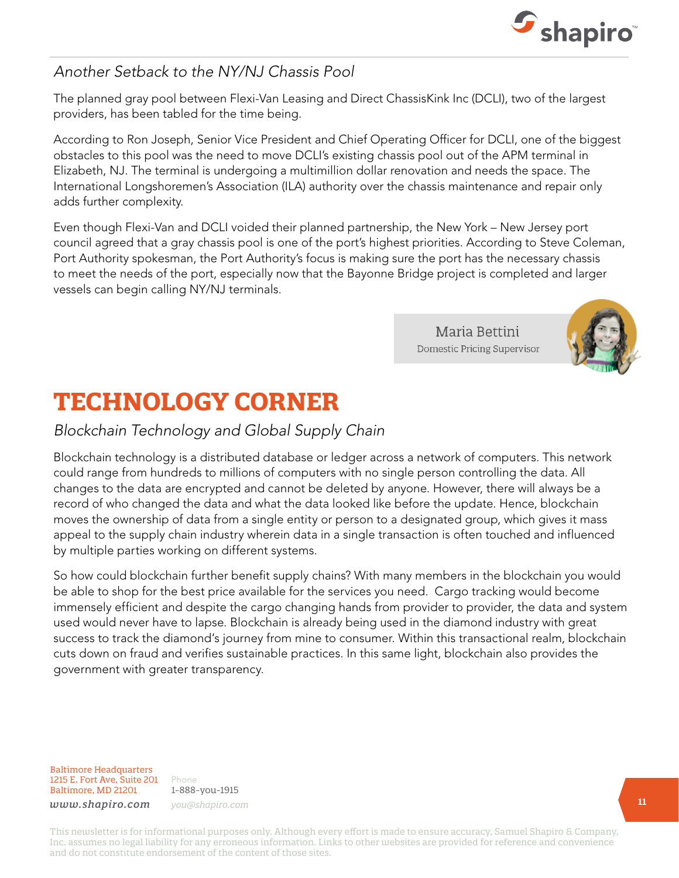

#### *Another Setback to the NY/NJ Chassis Pool*

The planned gray pool between Flexi-Van Leasing and Direct ChassisKink Inc (DCLI), two of the largest providers, has been tabled for the time being.

According to Ron Joseph, Senior Vice President and Chief Operating Officer for DCLI, one of the biggest obstacles to this pool was the need to move DCLI's existing chassis pool out of the APM terminal in Elizabeth, NJ. The terminal is undergoing a multimillion dollar renovation and needs the space. The International Longshoremen's Association (ILA) authority over the chassis maintenance and repair only adds further complexity.

Even though Flexi-Van and DCLI voided their planned partnership, the New York – New Jersey port council agreed that a gray chassis pool is one of the port's highest priorities. According to Steve Coleman, Port Authority spokesman, the Port Authority's focus is making sure the port has the necessary chassis to meet the needs of the port, especially now that the Bayonne Bridge project is completed and larger vessels can begin calling NY/NJ terminals.

> Maria Bettini Domestic Pricing Supervisor



## **TECHNOLOGY CORNER**

#### *Blockchain Technology and Global Supply Chain*

Blockchain technology is a distributed database or ledger across a network of computers. This network could range from hundreds to millions of computers with no single person controlling the data. All changes to the data are encrypted and cannot be deleted by anyone. However, there will always be a record of who changed the data and what the data looked like before the update. Hence, blockchain moves the ownership of data from a single entity or person to a designated group, which gives it mass appeal to the supply chain industry wherein data in a single transaction is often touched and influenced by multiple parties working on different systems.

So how could blockchain further benefit supply chains? With many members in the blockchain you would be able to shop for the best price available for the services you need. Cargo tracking would become immensely efficient and despite the cargo changing hands from provider to provider, the data and system used would never have to lapse. Blockchain is already being used in the diamond industry with great success to track the diamond's journey from mine to consumer. Within this transactional realm, blockchain cuts down on fraud and verifies sustainable practices. In this same light, blockchain also provides the government with greater transparency.

Baltimore Headquarters 1215 E. Fort Ave, Suite 201 Baltimore, MD 21201

Phone 1-888-you-1915 *www.shapiro.com you@shapiro.com*